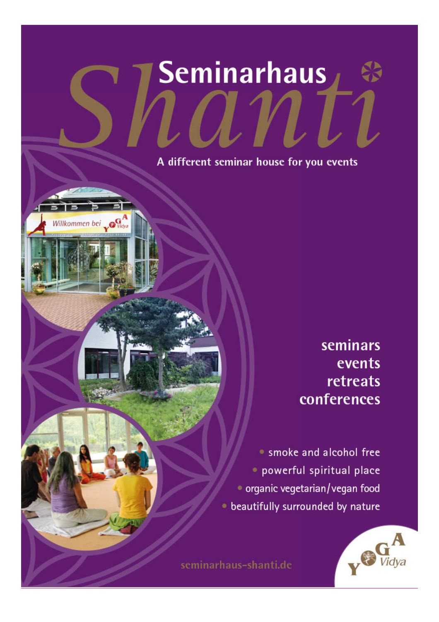# Seminarhaus

A different seminar house for you events

Willkommen bei OG

seminars events retreats conferences

· smoke and alcohol free · powerful spiritual place · organic vegetarian/vegan food · beautifully surrounded by nature



seminarhaus-shanti.de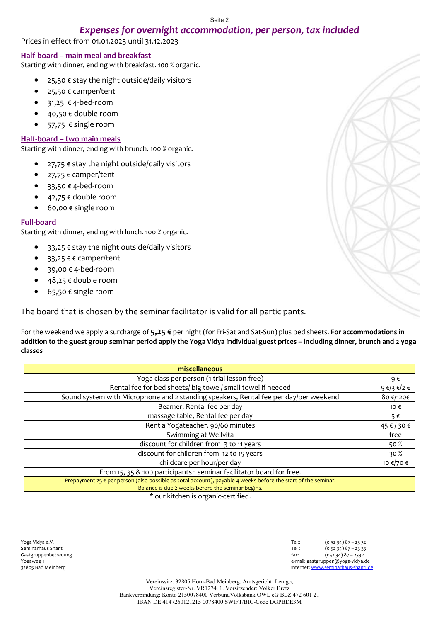## *Expenses for overnight accommodation, per person, tax included*

Prices in effect from 01.01.2023 until 31.12.2023

#### **Half-board – main meal and breakfast**

Starting with dinner, ending with breakfast. 100 % organic.

- $25,50 \in$  stay the night outside/daily visitors
- 25,50 € camper/tent
- $\bullet$  31,25  $\epsilon$  4-bed-room
- $\bullet$  40,50  $\epsilon$  double room
- $•$  57,75  $∈$  single room

#### **Half-board – two main meals**

Starting with dinner, ending with brunch. 100 % organic.

- $27,75 \in$  stay the night outside/daily visitors
- 27,75 € camper/tent
- $\bullet$  33,50  $\notin$  4-bed-room
- $\bullet$  42,75  $\epsilon$  double room
- $\bullet$  60,00  $\epsilon$  single room

#### **Full-board**

Starting with dinner, ending with lunch. 100 % organic.

- $\bullet$  33,25  $\epsilon$  stay the night outside/daily visitors
- 33,25 € € camper/tent
- $\bullet$  39,00  $\epsilon$  4-bed-room
- $\bullet$  48,25  $\epsilon$  double room
- 65,50 € single room

The board that is chosen by the seminar facilitator is valid for all participants.

For the weekend we apply a surcharge of **5,25 €** per night (for Fri-Sat and Sat-Sun) plus bed sheets. **For accommodations in addition to the guest group seminar period apply the Yoga Vidya individual guest prices – including dinner, brunch and 2 yoga classes**

| miscellaneous                                                                                                          |                 |  |  |  |  |  |
|------------------------------------------------------------------------------------------------------------------------|-----------------|--|--|--|--|--|
| Yoga class per person (1 trial lesson free)                                                                            |                 |  |  |  |  |  |
| Rental fee for bed sheets/ big towel/ small towel if needed                                                            |                 |  |  |  |  |  |
| Sound system with Microphone and 2 standing speakers, Rental fee per day/per weekend                                   |                 |  |  |  |  |  |
| Beamer, Rental fee per day                                                                                             | 10 €            |  |  |  |  |  |
| massage table, Rental fee per day                                                                                      | 5€              |  |  |  |  |  |
| Rent a Yogateacher, 90/60 minutes                                                                                      | 45 € / 30 €     |  |  |  |  |  |
| Swimming at Wellvita                                                                                                   | free            |  |  |  |  |  |
| discount for children from 3 to 11 years                                                                               | 50 $%$          |  |  |  |  |  |
| discount for children from 12 to 15 years                                                                              | 30 <sup>%</sup> |  |  |  |  |  |
| childcare per hour/per day                                                                                             | 10 €/70 €       |  |  |  |  |  |
| From 15, 35 & 100 participants 1 seminar facilitator board for free.                                                   |                 |  |  |  |  |  |
| Prepayment 25 $\epsilon$ per person (also possible as total account), payable 4 weeks before the start of the seminar. |                 |  |  |  |  |  |
| Balance is due 2 weeks before the seminar begins.                                                                      |                 |  |  |  |  |  |
| * our kitchen is organic-certified.                                                                                    |                 |  |  |  |  |  |

Yoga Vidya e.V. Tel:: (0 52 34) 87 – 23 32 Seminarhaus Shanti Tel : (0 52 34) 87 – 23 33 Gastgruppenbetreuung (052 34) 87 – 233 4<br>Togaweg 1 – Frail: gastgruppen@yoga-vidya.com e-mail: gastgruppen@yoga-vidya.de 32805 Bad Meinberg internet: www.seminarhaus-shanti.de

> Vereinssitz: 32805 Horn-Bad Meinberg. Amtsgericht: Lemgo, Vereinsregister-Nr. VR1274. 1. Vorsitzender: Volker Bretz Bankverbindung: Konto 2150078400 VerbundVolksbank OWL eG BLZ 472 601 21 IBAN DE 4147260121215 0078400 SWIFT/BIC-Code DGPBDE3M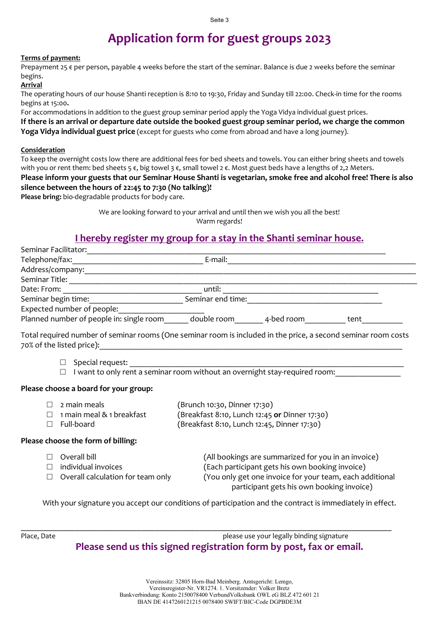# **Application form for guest groups 2023**

## **Terms of payment:**

Prepayment 25  $\epsilon$  per person, payable 4 weeks before the start of the seminar. Balance is due 2 weeks before the seminar begins.

### **Arrival**

The operating hours of our house Shanti reception is 8:10 to 19:30, Friday and Sunday till 22:00. Check-in time for the rooms begins at 15:00**.** 

For accommodations in addition to the guest group seminar period apply the Yoga Vidya individual guest prices. **If there is an arrival or departure date outside the booked guest group seminar period, we charge the common Yoga Vidya individual guest price** (except for guests who come from abroad and have a long journey).

#### **Consideration**

To keep the overnight costs low there are additional fees for bed sheets and towels. You can either bring sheets and towels with you or rent them: bed sheets 5 €, big towel 3 €, small towel 2 €. Most guest beds have a lengths of 2,2 Meters. **Please inform your guests that our Seminar House Shanti is vegetarian, smoke free and alcohol free! There is also silence between the hours of 22:45 to 7:30 (No talking)!** 

**Please bring:** bio-degradable products for body care.

We are looking forward to your arrival and until then we wish you all the best! Warm regards!

# **I hereby register my group for a stay in the Shanti seminar house.**

| Telephone/fax:                                                                                                      |                                                                            | E-mail:<br><u> 1980 - John Stein, mars and de Barbara (b. 1980)</u>                                                                                                                                             |  |  |  |  |  |  |  |  |
|---------------------------------------------------------------------------------------------------------------------|----------------------------------------------------------------------------|-----------------------------------------------------------------------------------------------------------------------------------------------------------------------------------------------------------------|--|--|--|--|--|--|--|--|
|                                                                                                                     |                                                                            |                                                                                                                                                                                                                 |  |  |  |  |  |  |  |  |
|                                                                                                                     |                                                                            |                                                                                                                                                                                                                 |  |  |  |  |  |  |  |  |
|                                                                                                                     |                                                                            | until:<br><u> 1989 - Johann Stoff, amerikansk politiker (d. 1989)</u>                                                                                                                                           |  |  |  |  |  |  |  |  |
|                                                                                                                     |                                                                            |                                                                                                                                                                                                                 |  |  |  |  |  |  |  |  |
|                                                                                                                     | Expected number of people:                                                 |                                                                                                                                                                                                                 |  |  |  |  |  |  |  |  |
| Planned number of people in: single room ______ double room _______ 4-bed room _______<br>tent                      |                                                                            |                                                                                                                                                                                                                 |  |  |  |  |  |  |  |  |
|                                                                                                                     |                                                                            | Total required number of seminar rooms (One seminar room is included in the price, a second seminar room costs                                                                                                  |  |  |  |  |  |  |  |  |
| Special request:<br>$\Box$<br>I want to only rent a seminar room without an overnight stay-required room:<br>$\Box$ |                                                                            |                                                                                                                                                                                                                 |  |  |  |  |  |  |  |  |
|                                                                                                                     | Please choose a board for your group:                                      |                                                                                                                                                                                                                 |  |  |  |  |  |  |  |  |
| $\Box$                                                                                                              | 2 main meals                                                               | (Brunch 10:30, Dinner 17:30)                                                                                                                                                                                    |  |  |  |  |  |  |  |  |
| $\Box$                                                                                                              | (Breakfast 8:10, Lunch 12:45 or Dinner 17:30)<br>1 main meal & 1 breakfast |                                                                                                                                                                                                                 |  |  |  |  |  |  |  |  |
| П                                                                                                                   | Full-board                                                                 | (Breakfast 8:10, Lunch 12:45, Dinner 17:30)                                                                                                                                                                     |  |  |  |  |  |  |  |  |
| Please choose the form of billing:                                                                                  |                                                                            |                                                                                                                                                                                                                 |  |  |  |  |  |  |  |  |
| П<br>$\Box$<br>П                                                                                                    | Overall bill<br>individual invoices<br>Overall calculation for team only   | (All bookings are summarized for you in an invoice)<br>(Each participant gets his own booking invoice)<br>(You only get one invoice for your team, each additional<br>participant gets his own booking invoice) |  |  |  |  |  |  |  |  |

With your signature you accept our conditions of participation and the contract is immediately in effect.

\_\_\_\_\_\_\_\_\_\_\_\_\_\_\_\_\_\_\_\_\_\_\_\_\_\_\_\_\_\_\_\_\_\_\_\_\_\_\_\_\_\_\_\_\_\_\_\_\_\_\_\_\_\_\_\_\_\_\_\_\_\_\_\_\_\_\_\_\_\_\_\_\_\_\_\_\_\_\_\_\_\_\_

Place, Date **please use your legally binding signature** please use your legally binding signature **Please send us this signed registration form by post, fax or email.**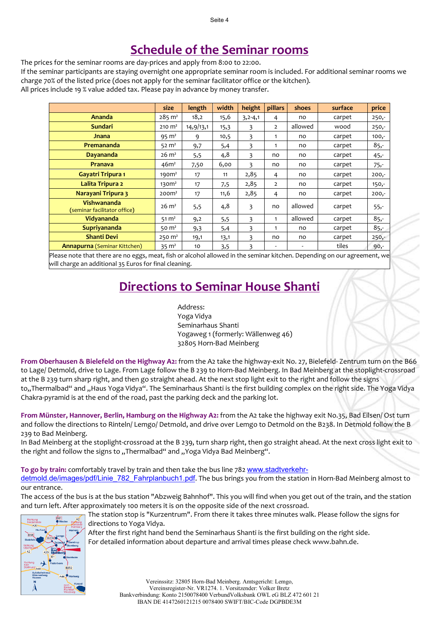# **Schedule of the Seminar rooms**

The prices for the seminar rooms are day-prices and apply from 8:00 to 22:00.

If the seminar participants are staying overnight one appropriate seminar room is included. For additional seminar rooms we charge 70% of the listed price (does not apply for the seminar facilitator office or the kitchen).

All prices include 19 % value added tax. Please pay in advance by money transfer.

|                                             | size              | length    | width | height    | pillars        | shoes   | surface | price   |
|---------------------------------------------|-------------------|-----------|-------|-----------|----------------|---------|---------|---------|
| <b>Ananda</b>                               | $285 \text{ m}^2$ | 18,2      | 15,6  | $3,2-4,1$ | 4              | no      | carpet  | $250 -$ |
| <b>Sundari</b>                              | $210 \text{ m}^2$ | 14,9/13,1 | 15,3  | 3         | $\overline{2}$ | allowed | wood    | $250 -$ |
| Jnana                                       | $95 \text{ m}^2$  | 9         | 10,5  | 3         | $\mathbf{1}$   | no      | carpet  | $100,-$ |
| <b>Premananda</b>                           | 52 $m2$           | 9,7       | 5,4   | 3         | 1              | no      | carpet  | $85 -$  |
| Dayananda                                   | $26 \text{ m}^2$  | 5,5       | 4,8   | 3         | no             | no      | carpet  | $45 -$  |
| <b>Pranava</b>                              | 46m <sup>2</sup>  | 7,50      | 6,00  | 3         | no             | no      | carpet  | $75 -$  |
| <b>Gayatri Tripura 1</b>                    | 190 <sup>2</sup>  | 17        | 11    | 2,85      | 4              | no      | carpet  | $200,-$ |
| Lalita Tripura 2                            | 130 <sup>2</sup>  | 17        | 7,5   | 2,85      | $\overline{2}$ | no      | carpet  | $150,-$ |
| Narayani Tripura 3                          | 200 <sup>2</sup>  | 17        | 11,6  | 2,85      | 4              | no      | carpet  | $200,-$ |
| Vishwananda<br>(seminar facilitator office) | $26 \text{ m}^2$  | 5,5       | 4,8   | 3         | no             | allowed | carpet  | $55 -$  |
| Vidyananda                                  | $51 \text{ m}^2$  | 9,2       | 5,5   | 3         | 1              | allowed | carpet  | $85 -$  |
| <b>Supriyananda</b>                         | 50 $m2$           | 9,3       | 5,4   | 3         | 1              | no      | carpet  | $85 -$  |
| <b>Shanti Devi</b>                          | $250 \text{ m}^2$ | 19,1      | 13,1  | 3         | no             | no      | carpet  | $250 -$ |
| <b>Annapurna</b> (Seminar Kittchen)         | $35 \text{ m}^2$  | 10        | 3,5   | 3         | ۰              | ٠       | tiles   | $90,-$  |

Please note that there are no eggs, meat, fish or alcohol allowed in the seminar kitchen. Depending on our agreement, we will charge an additional 35 Euros for final cleaning.

# **Directions to Seminar House Shanti**

Address: Yoga Vidya Seminarhaus Shanti Yogaweg 1 (formerly: Wällenweg 46) 32805 Horn-Bad Meinberg

**From Oberhausen & Bielefeld on the Highway A2:** from the A2 take the highway-exit No. 27, Bielefeld- Zentrum turn on the B66 to Lage/ Detmold, drive to Lage. From Lage follow the B 239 to Horn-Bad Meinberg. In Bad Meinberg at the stoplight-crossroad at the B 239 turn sharp right, and then go straight ahead. At the next stop light exit to the right and follow the signs to,,Thermalbad" and "Haus Yoga Vidya". The Seminarhaus Shanti is the first building complex on the right side. The Yoga Vidya Chakra-pyramid is at the end of the road, past the parking deck and the parking lot.

**From Münster, Hannover, Berlin, Hamburg on the Highway A2:** from the A2 take the highway exit No.35, Bad Eilsen/ Ost turn and follow the directions to Rinteln/ Lemgo/ Detmold, and drive over Lemgo to Detmold on the B238. In Detmold follow the B 239 to Bad Meinberg.

In Bad Meinberg at the stoplight-crossroad at the B 239, turn sharp right, then go straight ahead. At the next cross light exit to the right and follow the signs to "Thermalbad" and "Yoga Vidya Bad Meinberg".

**To go by train:** comfortably travel by train and then take the bus line 782 www.stadtverkehr-

detmold.de/images/pdf/Linie\_782\_Fahrplanbuch1.pdf. The bus brings you from the station in Horn-Bad Meinberg almost to our entrance.

The access of the bus is at the bus station "Abzweig Bahnhof". This you will find when you get out of the train, and the station and turn left. After approximately 100 meters it is on the opposite side of the next crossroad.



The station stop is "Kurzentrum". From there it takes three minutes walk. Please follow the signs for directions to Yoga Vidya.

After the first right hand bend the Seminarhaus Shanti is the first building on the right side. For detailed information about departure and arrival times please check www.bahn.de.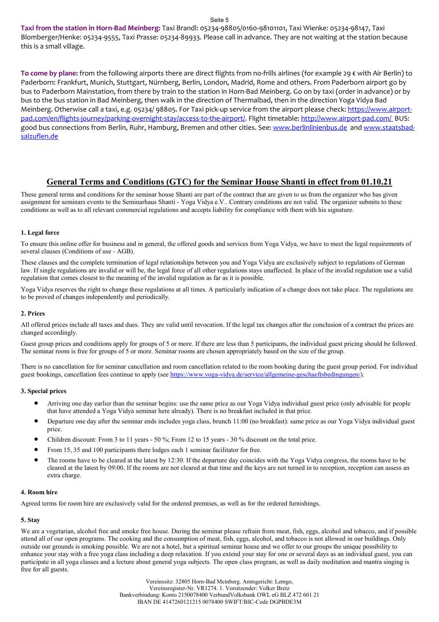**Taxi from the station in Horn-Bad Meinberg:** Taxi Brandl: 05234-98805/0160-98101101, Taxi Wienke: 05234-98147, Taxi Blomberger/Henke: 05234-9555, Taxi Prasse: 05234-89933. Please call in advance. They are not waiting at the station because this is a small village.

**To come by plane:** from the following airports there are direct flights from no-frills airlines (for example 29 € with Air Berlin) to Paderborn: Frankfurt, Munich, Stuttgart, Nürnberg, Berlin, London, Madrid, Rome and others. From Paderborn airport go by bus to Paderborn Mainstation, from there by train to the station in Horn-Bad Meinberg. Go on by taxi (order in advance) or by bus to the bus station in Bad Meinberg, then walk in the direction of Thermalbad, then in the direction Yoga Vidya Bad Meinberg. Otherwise call a taxi, e.g. 05234/ 98805. For Taxi pick-up service from the airport please check: https://www.airportpad.com/en/flights-journey/parking-overnight-stay/access-to-the-airport/. Flight timetable: http://www.airport-pad.com/ BUS: good bus connections from Berlin, Ruhr, Hamburg, Bremen and other cities. See: www.berlinlinienbus.de and www.staatsbadsalzuflen.de

## **General Terms and Conditions (GTC) for the Seminar House Shanti in effect from 01.10.21**

These general terms and conditions for the seminar house Shanti are part of the contract that are given to us from the organizer who has given assignment for seminars events to the Seminarhaus Shanti - Yoga Vidya e.V.. Contrary conditions are not valid. The organizer submits to these conditions as well as to all relevant commercial regulations and accepts liability for compliance with them with his signature.

#### **1. Legal force**

To ensure this online offer for business and in general, the offered goods and services from Yoga Vidya, we have to meet the legal requirements of several clauses (Conditions of use - AGB).

These clauses and the complete termination of legal relationships between you and Yoga Vidya are exclusively subject to regulations of German law. If single regulations are invalid or will be, the legal force of all other regulations stays unaffected. In place of the invalid regulation use a valid regulation that comes closest to the meaning of the invalid regulation as far as it is possible.

Yoga Vidya reserves the right to change these regulations at all times. A particularly indication of a change does not take place. The regulations are to be proved of changes independently and periodically.

#### **2. Prices**

All offered prices include all taxes and dues. They are valid until revocation. If the legal tax changes after the conclusion of a contract the prices are changed accordingly.

Guest group prices and conditions apply for groups of 5 or more. If there are less than 5 participants, the individual guest pricing should be followed. The seminar room is free for groups of 5 or more. Seminar rooms are chosen appropriately based on the size of the group.

There is no cancellation fee for seminar cancellation and room cancellation related to the room booking during the guest group period. For individual guest bookings, cancellation fees continue to apply (see https://www.yoga-vidya.de/service/allgemeine-geschaeftsbedingungen/).

#### **3. Special prices**

- Arriving one day earlier than the seminar begins: use the same price as our Yoga Vidya individual guest price (only advisable for people that have attended a Yoga Vidya seminar here already). There is no breakfast included in that price.
- Departure one day after the seminar ends includes yoga class, brunch 11:00 (no breakfast): same price as our Yoga Vidya individual guest price.
- Children discount: From 3 to 11 years 50 %; From 12 to 15 years 30 % discount on the total price.
- From 15, 35 and 100 participants there lodges each 1 seminar facilitator for free.
- The rooms have to be cleared at the latest by 12:30. If the departure day coincides with the Yoga Vidya congress, the rooms have to be cleared at the latest by 09:00. If the rooms are not cleared at that time and the keys are not turned in to reception, reception can assess an extra charge.

#### **4. Room hire**

Agreed terms for room hire are exclusively valid for the ordered premises, as well as for the ordered furnishings.

#### **5. Stay**

We are a vegetarian, alcohol free and smoke free house. During the seminar please refrain from meat, fish, eggs, alcohol and tobacco, and if possible attend all of our open programs. The cooking and the consumption of meat, fish, eggs, alcohol, and tobacco is not allowed in our buildings. Only outside our grounds is smoking possible. We are not a hotel, but a spiritual seminar house and we offer to our groups the unique possibility to enhance your stay with a free yoga class including a deep relaxation. If you extend your stay for one or several days as an individual guest, you can participate in all yoga classes and a lecture about general yoga subjects. The open class program, as well as daily meditation and mantra singing is free for all guests.

> Vereinssitz: 32805 Horn-Bad Meinberg. Amtsgericht: Lemgo, Vereinsregister-Nr. VR1274. 1. Vorsitzender: Volker Bretz Bankverbindung: Konto 2150078400 VerbundVolksbank OWL eG BLZ 472 601 21 IBAN DE 4147260121215 0078400 SWIFT/BIC-Code DGPBDE3M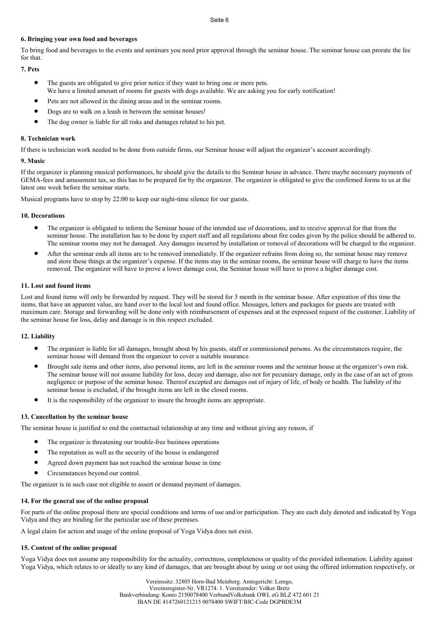#### **6. Bringing your own food and beverages**

To bring food and beverages to the events and seminars you need prior approval through the seminar house. The seminar house can prorate the fee for that.

#### **7. Pets**

- The guests are obligated to give prior notice if they want to bring one or more pets. We have a limited amount of rooms for guests with dogs available. We are asking you for early notification!
- Pets are not allowed in the dining areas and in the seminar rooms.
- Dogs are to walk on a leash in between the seminar houses!
- The dog owner is liable for all risks and damages related to his pet.

#### **8. Technician work**

If there is technician work needed to be done from outside firms, our Seminar house will adjust the organizer's account accordingly.

#### **9. Music**

If the organizer is planning musical performances, he should give the details to the Seminar house in advance. There maybe necessary payments of GEMA-fees and amusement tax, so this has to be prepared for by the organizer. The organizer is obligated to give the confirmed forms to us at the latest one week before the seminar starts.

Musical programs have to stop by 22:00 to keep our night-time silence for our guests.

#### **10. Decorations**

- The organizer is obligated to inform the Seminar house of the intended use of decorations, and to receive approval for that from the seminar house. The installation has to be done by expert staff and all regulations about fire codes given by the police should be adhered to. The seminar rooms may not be damaged. Any damages incurred by installation or removal of decorations will be charged to the organizer.
- After the seminar ends all items are to be removed immediately. If the organizer refrains from doing so, the seminar house may remove and store these things at the organizer's expense. If the items stay in the seminar rooms, the seminar house will charge to have the items removed. The organizer will have to prove a lower damage cost, the Seminar house will have to prove a higher damage cost.

#### **11. Lost and found items**

Lost and found items will only be forwarded by request. They will be stored for 3 month in the seminar house. After expiration of this time the items, that have an apparent value, are hand over to the local lost and found office. Messages, letters and packages for guests are treated with maximum care. Storage and forwarding will be done only with reimbursement of expenses and at the expressed request of the customer. Liability of the seminar house for loss, delay and damage is in this respect excluded.

#### **12. Liability**

- The organizer is liable for all damages, brought about by his guests, staff or commissioned persons. As the circumstances require, the seminar house will demand from the organizer to cover a suitable insurance.
- Brought sale items and other items, also personal items, are left in the seminar rooms and the seminar house at the organizer's own risk. The seminar house will not assume liability for loss, decay and damage, also not for pecuniary damage, only in the case of an act of gross negligence or purpose of the seminar house. Thereof excepted are damages out of injury of life, of body or health. The liability of the seminar house is excluded, if the brought items are left in the closed rooms.
- It is the responsibility of the organizer to insure the brought items are appropriate.

#### **13. Cancellation by the seminar house**

The seminar house is justified to end the contractual relationship at any time and without giving any reason, if

- The organizer is threatening our trouble-free business operations
- The reputation as well as the security of the house is endangered
- Agreed down payment has not reached the seminar house in time
- Circumstances beyond our control.

The organizer is in such case not eligible to assert or demand payment of damages.

#### **14. For the general use of the online proposal**

For parts of the online proposal there are special conditions and terms of use and/or participation. They are each duly denoted and indicated by Yoga Vidya and they are binding for the particular use of these premises.

A legal claim for action and usage of the online proposal of Yoga Vidya does not exist.

#### **15. Content of the online proposal**

Yoga Vidya does not assume any responsibility for the actuality, correctness, completeness or quality of the provided information. Liability against Yoga Vidya, which relates to or ideally to any kind of damages, that are brought about by using or not using the offered information respectively, or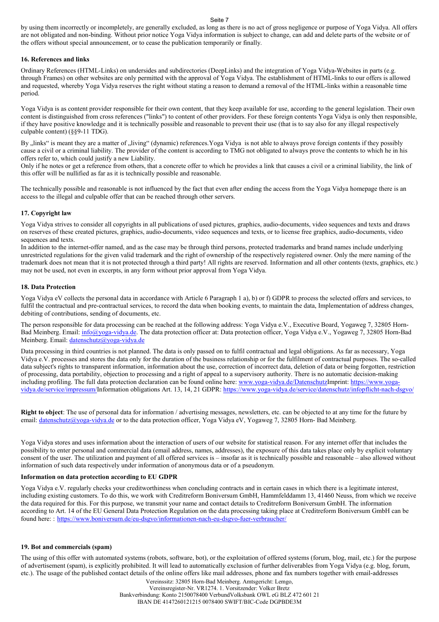by using them incorrectly or incompletely, are generally excluded, as long as there is no act of gross negligence or purpose of Yoga Vidya. All offers are not obligated and non-binding. Without prior notice Yoga Vidya information is subject to change, can add and delete parts of the website or of the offers without special announcement, or to cease the publication temporarily or finally.

#### **16. References and links**

Ordinary References (HTML-Links) on undersides and subdirectories (DeepLinks) and the integration of Yoga Vidya-Websites in parts (e.g. through Frames) on other websites are only permitted with the approval of Yoga Vidya. The establishment of HTML-links to our offers is allowed and requested, whereby Yoga Vidya reserves the right without stating a reason to demand a removal of the HTML-links within a reasonable time period.

Yoga Vidya is as content provider responsible for their own content, that they keep available for use, according to the general legislation. Their own content is distinguished from cross references ("links") to content of other providers. For these foreign contents Yoga Vidya is only then responsible, if they have positive knowledge and it is technically possible and reasonable to prevent their use (that is to say also for any illegal respectively culpable content) (§§9-11 TDG).

By "links" is meant they are a matter of "living" (dynamic) references. Yoga Vidya is not able to always prove foreign contents if they possibly cause a civil or a criminal liability. The provider of the content is according to TMG not obligated to always prove the contents to which he in his offers refer to, which could justify a new Liability.

Only if he notes or get a reference from others, that a concrete offer to which he provides a link that causes a civil or a criminal liability, the link of this offer will be nullified as far as it is technically possible and reasonable.

The technically possible and reasonable is not influenced by the fact that even after ending the access from the Yoga Vidya homepage there is an access to the illegal and culpable offer that can be reached through other servers.

#### **17. Copyright law**

Yoga Vidya strives to consider all copyrights in all publications of used pictures, graphics, audio-documents, video sequences and texts and draws on reserves of these created pictures, graphics, audio-documents, video sequences and texts, or to license free graphics, audio-documents, video sequences and texts.

In addition to the internet-offer named, and as the case may be through third persons, protected trademarks and brand names include underlying unrestricted regulations for the given valid trademark and the right of ownership of the respectively registered owner. Only the mere naming of the trademark does not mean that it is not protected through a third party! All rights are reserved. Information and all other contents (texts, graphics, etc.) may not be used, not even in excerpts, in any form without prior approval from Yoga Vidya.

#### **18. Data Protection**

Yoga Vidya eV collects the personal data in accordance with Article 6 Paragraph 1 a), b) or f) GDPR to process the selected offers and services, to fulfil the contractual and pre-contractual services, to record the data when booking events, to maintain the data, Implementation of address changes, debiting of contributions, sending of documents, etc.

The person responsible for data processing can be reached at the following address: Yoga Vidya e.V., Executive Board, Yogaweg 7, 32805 Horn-Bad Meinberg. Email: info@yoga-vidya.de. The data protection officer at: Data protection officer, Yoga Vidya e.V., Yogaweg 7, 32805 Horn-Bad Meinberg. Email: datenschutz@yoga-vidya.de

Data processing in third countries is not planned. The data is only passed on to fulfil contractual and legal obligations. As far as necessary, Yoga Vidya e.V. processes and stores the data only for the duration of the business relationship or for the fulfilment of contractual purposes. The so-called data subject's rights to transparent information, information about the use, correction of incorrect data, deletion of data or being forgotten, restriction of processing, data portability, objection to processing and a right of appeal to a supervisory authority. There is no automatic decision-making including profiling. The full data protection declaration can be found online here: www.yoga-vidya.de/DatenschutzImprint: https://www.yogavidya.de/service/impressum/Information obligations Art. 13, 14, 21 GDPR: https://www.yoga-vidya.de/service/datenschutz/infopflicht-nach-dsgvo/

**Right to object**: The use of personal data for information / advertising messages, newsletters, etc. can be objected to at any time for the future by email: datenschutz@yoga-vidya.de or to the data protection officer, Yoga Vidya eV, Yogaweg 7, 32805 Horn- Bad Meinberg.

Yoga Vidya stores and uses information about the interaction of users of our website for statistical reason. For any internet offer that includes the possibility to enter personal and commercial data (email address, names, addresses), the exposure of this data takes place only by explicit voluntary consent of the user. The utilization and payment of all offered services is – insofar as it is technically possible and reasonable – also allowed without information of such data respectively under information of anonymous data or of a pseudonym.

#### **Information on data protection according to EU GDPR**

Yoga Vidya e.V. regularly checks your creditworthiness when concluding contracts and in certain cases in which there is a legitimate interest, including existing customers. To do this, we work with Creditreform Boniversum GmbH, Hammfelddamm 13, 41460 Neuss, from which we receive the data required for this. For this purpose, we transmit your name and contact details to Creditreform Boniversum GmbH. The information according to Art. 14 of the EU General Data Protection Regulation on the data processing taking place at Creditreform Boniversum GmbH can be found here: : https://www.boniversum.de/eu-dsgvo/informationen-nach-eu-dsgvo-fuer-verbraucher/

#### **19. Bot and commercials (spam)**

The using of this offer with automated systems (robots, software, bot), or the exploitation of offered systems (forum, blog, mail, etc.) for the purpose of advertisement (spam), is explicitly prohibited. It will lead to automatically exclusion of further deliverables from Yoga Vidya (e.g. blog, forum, etc.). The usage of the published contact details of the online offers like mail addresses, phone and fax numbers together with email-addresses

Vereinssitz: 32805 Horn-Bad Meinberg. Amtsgericht: Lemgo, Vereinsregister-Nr. VR1274. 1. Vorsitzender: Volker Bretz Bankverbindung: Konto 2150078400 VerbundVolksbank OWL eG BLZ 472 601 21 IBAN DE 4147260121215 0078400 SWIFT/BIC-Code DGPBDE3M